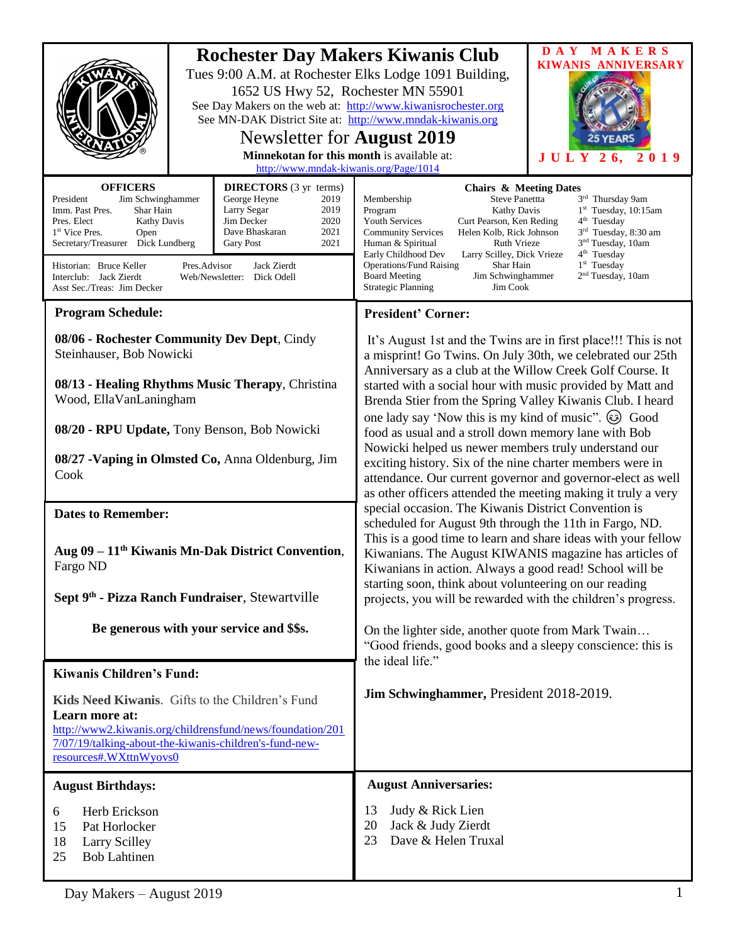| <b>OFFICERS</b>                                                                                                                                                                                                                                                                                                                                                                                                                                               | <b>Rochester Day Makers Kiwanis Club</b><br>Tues 9:00 A.M. at Rochester Elks Lodge 1091 Building,<br>1652 US Hwy 52, Rochester MN 55901<br>See Day Makers on the web at: http://www.kiwanisrochester.org<br>See MN-DAK District Site at: http://www.mndak-kiwanis.org<br>Newsletter for <b>August</b> 2019<br>Minnekotan for this month is available at:<br>http://www.mndak-kiwanis.org/Page/1014<br><b>DIRECTORS</b> (3 yr terms) |  |                                                                                                                                                                                                                                                                                                                                                                                                                                                                                                                                                                                                                                                                                                                                                                                                                                                                                                                                                                                                                                                                                                                                                                                                                                                                                                                                                          | DAY MAKERS<br><b>KIWANIS ANNIVERSARY</b><br>JULY<br>2019<br>26, |
|---------------------------------------------------------------------------------------------------------------------------------------------------------------------------------------------------------------------------------------------------------------------------------------------------------------------------------------------------------------------------------------------------------------------------------------------------------------|-------------------------------------------------------------------------------------------------------------------------------------------------------------------------------------------------------------------------------------------------------------------------------------------------------------------------------------------------------------------------------------------------------------------------------------|--|----------------------------------------------------------------------------------------------------------------------------------------------------------------------------------------------------------------------------------------------------------------------------------------------------------------------------------------------------------------------------------------------------------------------------------------------------------------------------------------------------------------------------------------------------------------------------------------------------------------------------------------------------------------------------------------------------------------------------------------------------------------------------------------------------------------------------------------------------------------------------------------------------------------------------------------------------------------------------------------------------------------------------------------------------------------------------------------------------------------------------------------------------------------------------------------------------------------------------------------------------------------------------------------------------------------------------------------------------------|-----------------------------------------------------------------|
| President<br>Jim Schwinghammer<br>George Heyne<br>2019<br>Imm. Past Pres.<br>Shar Hain<br>Larry Segar<br>2019<br>2020<br>Pres. Elect<br><b>Kathy Davis</b><br>Jim Decker<br>Dave Bhaskaran<br>2021<br>1 <sup>st</sup> Vice Pres.<br>Open<br>2021<br>Secretary/Treasurer<br>Dick Lundberg<br><b>Gary Post</b><br>Historian: Bruce Keller<br>Jack Zierdt<br>Pres.Advisor<br>Interclub: Jack Zierdt<br>Web/Newsletter: Dick Odell<br>Asst Sec./Treas: Jim Decker |                                                                                                                                                                                                                                                                                                                                                                                                                                     |  | <b>Chairs &amp; Meeting Dates</b><br><b>Steve Panettta</b><br>3rd Thursday 9am<br>Membership<br>$1st$ Tuesday, 10:15am<br>Program<br>Kathy Davis<br><b>Youth Services</b><br>$4th$ Tuesday<br>Curt Pearson, Ken Reding<br>3rd Tuesday, 8:30 am<br>Helen Kolb, Rick Johnson<br><b>Community Services</b><br>3 <sup>nd</sup> Tuesday, 10am<br>Human & Spiritual<br><b>Ruth Vrieze</b><br>4 <sup>th</sup> Tuesday<br>Early Childhood Dev<br>Larry Scilley, Dick Vrieze<br><b>Operations/Fund Raising</b><br>$1st$ Tuesday<br>Shar Hain<br>2 <sup>nd</sup> Tuesday, 10am<br><b>Board Meeting</b><br>Jim Schwinghammer<br><b>Strategic Planning</b><br>Jim Cook                                                                                                                                                                                                                                                                                                                                                                                                                                                                                                                                                                                                                                                                                               |                                                                 |
| <b>Program Schedule:</b><br>08/06 - Rochester Community Dev Dept, Cindy<br>Steinhauser, Bob Nowicki<br>08/13 - Healing Rhythms Music Therapy, Christina<br>Wood, EllaVanLaningham<br>08/20 - RPU Update, Tony Benson, Bob Nowicki<br>08/27 - Vaping in Olmsted Co, Anna Oldenburg, Jim<br>Cook                                                                                                                                                                |                                                                                                                                                                                                                                                                                                                                                                                                                                     |  | <b>President' Corner:</b><br>It's August 1st and the Twins are in first place!!! This is not<br>a misprint! Go Twins. On July 30th, we celebrated our 25th<br>Anniversary as a club at the Willow Creek Golf Course. It<br>started with a social hour with music provided by Matt and<br>Brenda Stier from the Spring Valley Kiwanis Club. I heard<br>one lady say 'Now this is my kind of music". $\circled{c}$ Good<br>food as usual and a stroll down memory lane with Bob<br>Nowicki helped us newer members truly understand our<br>exciting history. Six of the nine charter members were in<br>attendance. Our current governor and governor-elect as well<br>as other officers attended the meeting making it truly a very<br>special occasion. The Kiwanis District Convention is<br>scheduled for August 9th through the 11th in Fargo, ND.<br>This is a good time to learn and share ideas with your fellow<br>Kiwanians. The August KIWANIS magazine has articles of<br>Kiwanians in action. Always a good read! School will be<br>starting soon, think about volunteering on our reading<br>projects, you will be rewarded with the children's progress.<br>On the lighter side, another quote from Mark Twain<br>"Good friends, good books and a sleepy conscience: this is<br>the ideal life."<br>Jim Schwinghammer, President 2018-2019. |                                                                 |
| <b>Dates to Remember:</b><br>Aug 09 – 11 <sup>th</sup> Kiwanis Mn-Dak District Convention,<br>Fargo ND<br>Sept 9th - Pizza Ranch Fundraiser, Stewartville<br>Be generous with your service and \$\$s.                                                                                                                                                                                                                                                         |                                                                                                                                                                                                                                                                                                                                                                                                                                     |  |                                                                                                                                                                                                                                                                                                                                                                                                                                                                                                                                                                                                                                                                                                                                                                                                                                                                                                                                                                                                                                                                                                                                                                                                                                                                                                                                                          |                                                                 |
| <b>Kiwanis Children's Fund:</b><br>Kids Need Kiwanis. Gifts to the Children's Fund<br>Learn more at:<br>http://www2.kiwanis.org/childrensfund/news/foundation/201<br>7/07/19/talking-about-the-kiwanis-children's-fund-new-<br>resources#.WXttnWyovs0                                                                                                                                                                                                         |                                                                                                                                                                                                                                                                                                                                                                                                                                     |  |                                                                                                                                                                                                                                                                                                                                                                                                                                                                                                                                                                                                                                                                                                                                                                                                                                                                                                                                                                                                                                                                                                                                                                                                                                                                                                                                                          |                                                                 |
| <b>August Birthdays:</b><br>Herb Erickson<br>6<br>15<br>Pat Horlocker<br>18<br><b>Larry Scilley</b><br>25<br><b>Bob Lahtinen</b>                                                                                                                                                                                                                                                                                                                              |                                                                                                                                                                                                                                                                                                                                                                                                                                     |  | <b>August Anniversaries:</b><br>Judy & Rick Lien<br>13<br>Jack & Judy Zierdt<br>20<br>Dave & Helen Truxal<br>23                                                                                                                                                                                                                                                                                                                                                                                                                                                                                                                                                                                                                                                                                                                                                                                                                                                                                                                                                                                                                                                                                                                                                                                                                                          |                                                                 |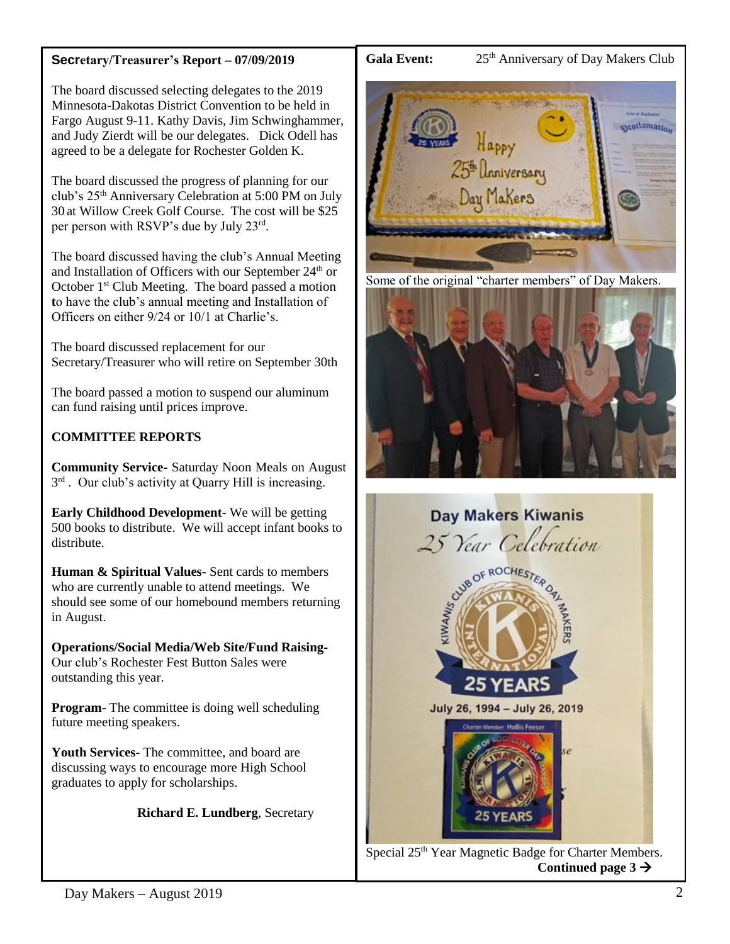# **Secretary/Treasurer's Report – 07/09/2019**

The board discussed selecting delegates to the 2019 Minnesota-Dakotas District Convention to be held in Fargo August 9-11. Kathy Davis, Jim Schwinghammer, and Judy Zierdt will be our delegates. Dick Odell has agreed to be a delegate for Rochester Golden K.

The board discussed the progress of planning for our club's 25th Anniversary Celebration at 5:00 PM on July 30 at Willow Creek Golf Course. The cost will be \$25 per person with RSVP's due by July 23<sup>rd</sup>.

The board discussed having the club's Annual Meeting and Installation of Officers with our September 24<sup>th</sup> or October 1<sup>st</sup> Club Meeting. The board passed a motion **t**o have the club's annual meeting and Installation of Officers on either 9/24 or 10/1 at Charlie's.

The board discussed replacement for our Secretary/Treasurer who will retire on September 30th

The board passed a motion to suspend our aluminum can fund raising until prices improve.

# **COMMITTEE REPORTS**

**Community Service-** Saturday Noon Meals on August 3<sup>rd</sup>. Our club's activity at Quarry Hill is increasing.

**Early Childhood Development-** We will be getting 500 books to distribute. We will accept infant books to distribute.

**Human & Spiritual Values-** Sent cards to members who are currently unable to attend meetings. We should see some of our homebound members returning in August.

**Operations/Social Media/Web Site/Fund Raising-**Our club's Rochester Fest Button Sales were outstanding this year.

**Program-** The committee is doing well scheduling future meeting speakers.

**Youth Services-** The committee, and board are discussing ways to encourage more High School graduates to apply for scholarships.

**Richard E. Lundberg**, Secretary



Some of the original "charter members" of Day Makers.





Special 25<sup>th</sup> Year Magnetic Badge for Charter Members. **Continued page 3** →

Gala Event: 25<sup>th</sup> Anniversary of Day Makers Club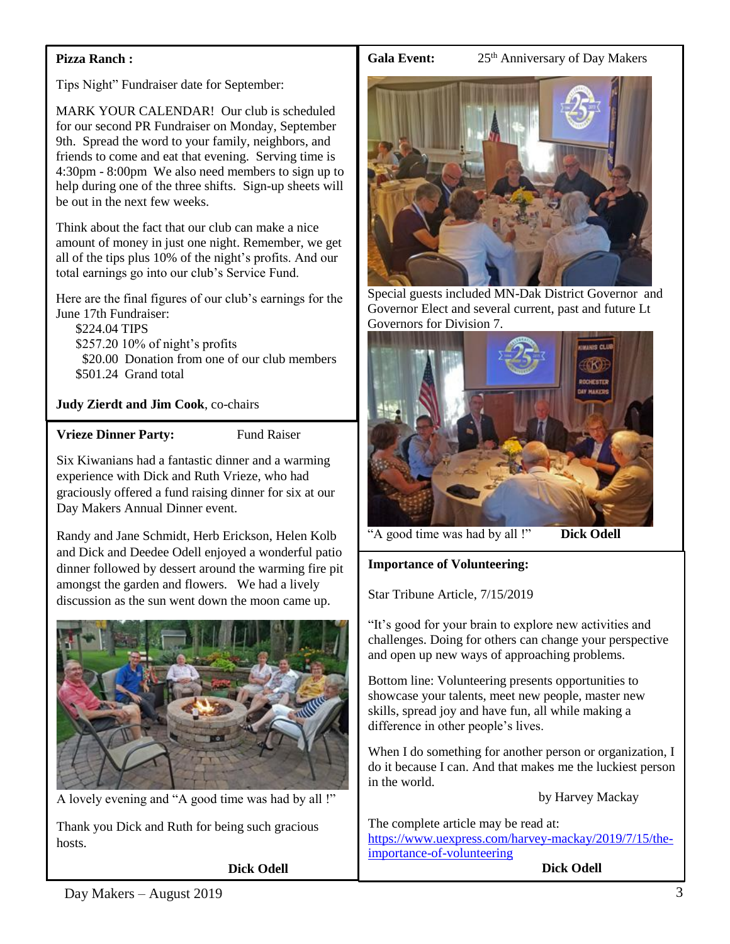# **Pizza Ranch :**

#### Gala Event: 25<sup>th</sup> Anniversary of Day Makers

Tips Night" Fundraiser date for September:

MARK YOUR CALENDAR! Our club is scheduled for our second PR Fundraiser on Monday, September 9th. Spread the word to your family, neighbors, and friends to come and eat that evening. Serving time is 4:30pm - 8:00pm We also need members to sign up to help during one of the three shifts. Sign-up sheets will be out in the next few weeks.

Think about the fact that our club can make a nice amount of money in just one night. Remember, we get all of the tips plus 10% of the night's profits. And our total earnings go into our club's Service Fund.

Here are the final figures of our club's earnings for the June 17th Fundraiser:

 \$224.04 TIPS \$257.20 10% of night's profits \$20.00 Donation from one of our club members \$501.24 Grand total

## **Judy Zierdt and Jim Cook**, co-chairs

#### **Vrieze Dinner Party:** Fund Raiser

Six Kiwanians had a fantastic dinner and a warming experience with Dick and Ruth Vrieze, who had graciously offered a fund raising dinner for six at our Day Makers Annual Dinner event.

Randy and Jane Schmidt, Herb Erickson, Helen Kolb and Dick and Deedee Odell enjoyed a wonderful patio dinner followed by dessert around the warming fire pit amongst the garden and flowers. We had a lively discussion as the sun went down the moon came up.



A lovely evening and "A good time was had by all !"

Thank you Dick and Ruth for being such gracious hosts.

**Dick Odell**



Special guests included MN-Dak District Governor and Governor Elect and several current, past and future Lt Governors for Division 7.



"A good time was had by all !" **Dick Odell**

### **Importance of Volunteering:**

Star Tribune Article, 7/15/2019

"It's good for your brain to explore new activities and challenges. Doing for others can change your perspective and open up new ways of approaching problems.

Bottom line: Volunteering presents opportunities to showcase your talents, meet new people, master new skills, spread joy and have fun, all while making a difference in other people's lives.

When I do something for another person or organization, I do it because I can. And that makes me the luckiest person in the world.

by Harvey Mackay

The complete article may be read at: [https://www.uexpress.com/harvey-mackay/2019/7/15/the](https://www.uexpress.com/harvey-mackay/2019/7/15/the-importance-of-volunteering)[importance-of-volunteering](https://www.uexpress.com/harvey-mackay/2019/7/15/the-importance-of-volunteering)

**Dick Odell**